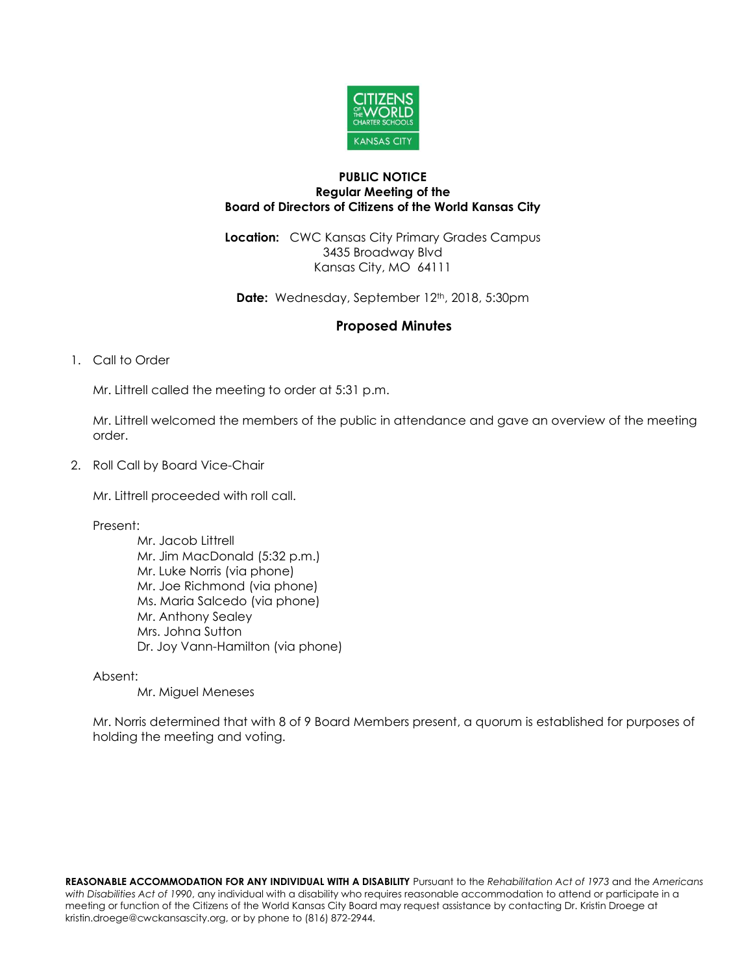

## **PUBLIC NOTICE Regular Meeting of the Board of Directors of Citizens of the World Kansas City**

**Location:** CWC Kansas City Primary Grades Campus 3435 Broadway Blvd Kansas City, MO 64111

**Date:** Wednesday, September 12<sup>th</sup>, 2018, 5:30pm

## **Proposed Minutes**

1. Call to Order

Mr. Littrell called the meeting to order at 5:31 p.m.

Mr. Littrell welcomed the members of the public in attendance and gave an overview of the meeting order.

2. Roll Call by Board Vice-Chair

Mr. Littrell proceeded with roll call.

Present:

Mr. Jacob Littrell Mr. Jim MacDonald (5:32 p.m.) Mr. Luke Norris (via phone) Mr. Joe Richmond (via phone) Ms. Maria Salcedo (via phone) Mr. Anthony Sealey Mrs. Johna Sutton Dr. Joy Vann-Hamilton (via phone)

Absent:

Mr. Miguel Meneses

Mr. Norris determined that with 8 of 9 Board Members present, a quorum is established for purposes of holding the meeting and voting.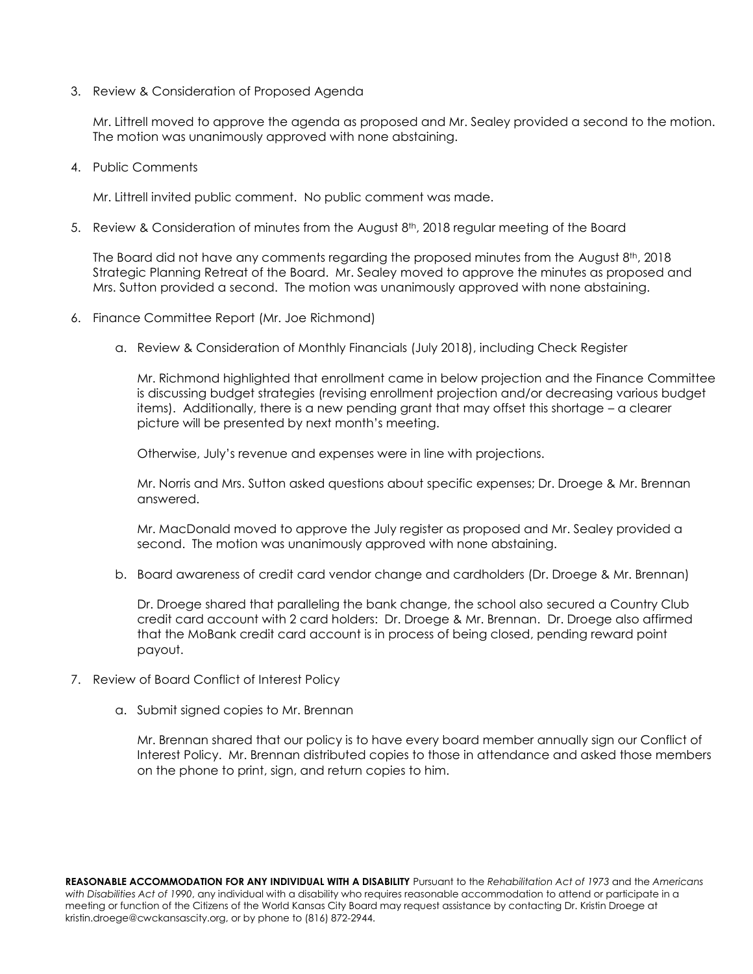3. Review & Consideration of Proposed Agenda

Mr. Littrell moved to approve the agenda as proposed and Mr. Sealey provided a second to the motion. The motion was unanimously approved with none abstaining.

4. Public Comments

Mr. Littrell invited public comment. No public comment was made.

5. Review & Consideration of minutes from the August  $8<sup>th</sup>$ , 2018 regular meeting of the Board

The Board did not have any comments regarding the proposed minutes from the August  $8<sup>th</sup>$ , 2018 Strategic Planning Retreat of the Board. Mr. Sealey moved to approve the minutes as proposed and Mrs. Sutton provided a second. The motion was unanimously approved with none abstaining.

- 6. Finance Committee Report (Mr. Joe Richmond)
	- a. Review & Consideration of Monthly Financials (July 2018), including Check Register

Mr. Richmond highlighted that enrollment came in below projection and the Finance Committee is discussing budget strategies (revising enrollment projection and/or decreasing various budget items). Additionally, there is a new pending grant that may offset this shortage – a clearer picture will be presented by next month's meeting.

Otherwise, July's revenue and expenses were in line with projections.

Mr. Norris and Mrs. Sutton asked questions about specific expenses; Dr. Droege & Mr. Brennan answered.

Mr. MacDonald moved to approve the July register as proposed and Mr. Sealey provided a second. The motion was unanimously approved with none abstaining.

b. Board awareness of credit card vendor change and cardholders (Dr. Droege & Mr. Brennan)

Dr. Droege shared that paralleling the bank change, the school also secured a Country Club credit card account with 2 card holders: Dr. Droege & Mr. Brennan. Dr. Droege also affirmed that the MoBank credit card account is in process of being closed, pending reward point payout.

- 7. Review of Board Conflict of Interest Policy
	- a. Submit signed copies to Mr. Brennan

Mr. Brennan shared that our policy is to have every board member annually sign our Conflict of Interest Policy. Mr. Brennan distributed copies to those in attendance and asked those members on the phone to print, sign, and return copies to him.

**REASONABLE ACCOMMODATION FOR ANY INDIVIDUAL WITH A DISABILITY** Pursuant to the *Rehabilitation Act of 1973* and the *Americans with Disabilities Act of 1990*, any individual with a disability who requires reasonable accommodation to attend or participate in a meeting or function of the Citizens of the World Kansas City Board may request assistance by contacting Dr. Kristin Droege at kristin.droege@cwckansascity.org, or by phone to (816) 872-2944.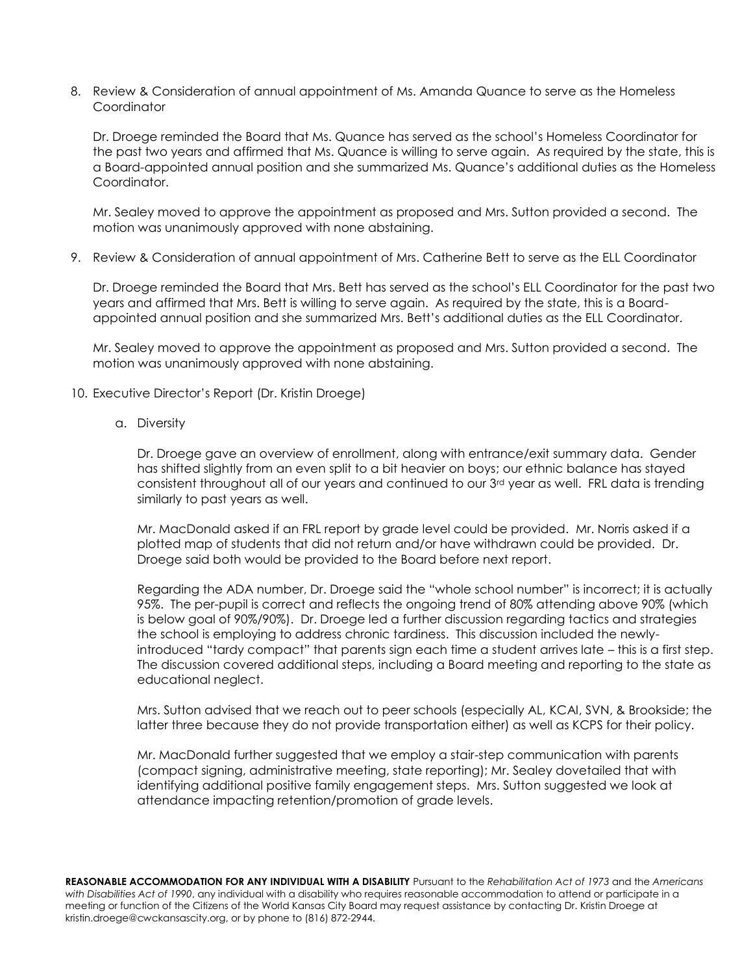8. Review & Consideration of annual appointment of Ms. Amanda Quance to serve as the Homeless **Coordinator** 

Dr. Droege reminded the Board that Ms. Quance has served as the school's Homeless Coordinator for the past two years and affirmed that Ms. Quance is willing to serve again. As required by the state, this is a Board-appointed annual position and she summarized Ms. Quance's additional duties as the Homeless Coordinator.

Mr. Sealey moved to approve the appointment as proposed and Mrs. Sutton provided a second. The motion was unanimously approved with none abstaining.

9. Review & Consideration of annual appointment of Mrs. Catherine Bett to serve as the ELL Coordinator

Dr. Droege reminded the Board that Mrs. Bett has served as the school's ELL Coordinator for the past two years and affirmed that Mrs. Bett is willing to serve again. As required by the state, this is a Boardappointed annual position and she summarized Mrs. Bett's additional duties as the ELL Coordinator.

Mr. Sealey moved to approve the appointment as proposed and Mrs. Sutton provided a second. The motion was unanimously approved with none abstaining.

- 10. Executive Director's Report (Dr. Kristin Droege)
	- a. Diversity

Dr. Droege gave an overview of enrollment, along with entrance/exit summary data. Gender has shifted slightly from an even split to a bit heavier on boys; our ethnic balance has stayed consistent throughout all of our years and continued to our  $3<sup>rd</sup>$  year as well. FRL data is trending similarly to past years as well.

Mr. MacDonald asked if an FRL report by grade level could be provided. Mr. Norris asked if a plotted map of students that did not return and/or have withdrawn could be provided. Dr. Droege said both would be provided to the Board before next report.

Regarding the ADA number, Dr. Droege said the "whole school number" is incorrect; it is actually 95%. The per-pupil is correct and reflects the ongoing trend of 80% attending above 90% (which is below goal of 90%/90%). Dr. Droege led a further discussion regarding tactics and strategies the school is employing to address chronic tardiness. This discussion included the newlyintroduced "tardy compact" that parents sign each time a student arrives late – this is a first step. The discussion covered additional steps, including a Board meeting and reporting to the state as educational neglect.

Mrs. Sutton advised that we reach out to peer schools (especially AL, KCAI, SVN, & Brookside; the latter three because they do not provide transportation either) as well as KCPS for their policy.

Mr. MacDonald further suggested that we employ a stair-step communication with parents (compact signing, administrative meeting, state reporting); Mr. Sealey dovetailed that with identifying additional positive family engagement steps. Mrs. Sutton suggested we look at attendance impacting retention/promotion of grade levels.

**REASONABLE ACCOMMODATION FOR ANY INDIVIDUAL WITH A DISABILITY** Pursuant to the *Rehabilitation Act of 1973* and the *Americans with Disabilities Act of 1990*, any individual with a disability who requires reasonable accommodation to attend or participate in a meeting or function of the Citizens of the World Kansas City Board may request assistance by contacting Dr. Kristin Droege at kristin.droege@cwckansascity.org, or by phone to (816) 872-2944.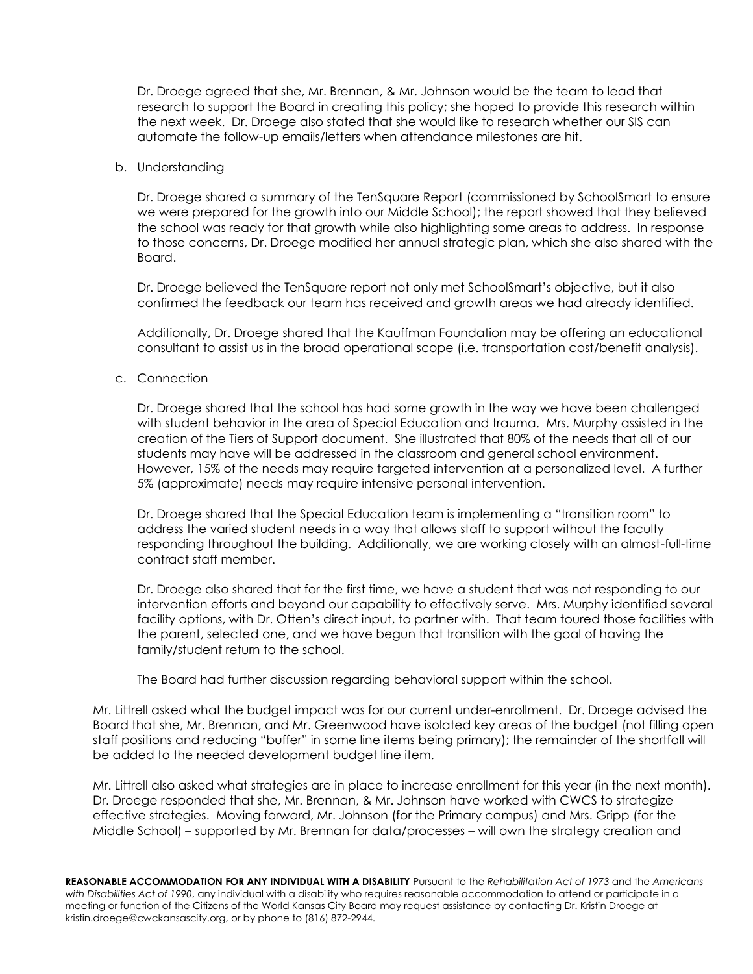Dr. Droege agreed that she, Mr. Brennan, & Mr. Johnson would be the team to lead that research to support the Board in creating this policy; she hoped to provide this research within the next week. Dr. Droege also stated that she would like to research whether our SIS can automate the follow-up emails/letters when attendance milestones are hit.

## b. Understanding

Dr. Droege shared a summary of the TenSquare Report (commissioned by SchoolSmart to ensure we were prepared for the growth into our Middle School); the report showed that they believed the school was ready for that growth while also highlighting some areas to address. In response to those concerns, Dr. Droege modified her annual strategic plan, which she also shared with the Board.

Dr. Droege believed the TenSquare report not only met SchoolSmart's objective, but it also confirmed the feedback our team has received and growth areas we had already identified.

Additionally, Dr. Droege shared that the Kauffman Foundation may be offering an educational consultant to assist us in the broad operational scope (i.e. transportation cost/benefit analysis).

c. Connection

Dr. Droege shared that the school has had some growth in the way we have been challenged with student behavior in the area of Special Education and trauma. Mrs. Murphy assisted in the creation of the Tiers of Support document. She illustrated that 80% of the needs that all of our students may have will be addressed in the classroom and general school environment. However, 15% of the needs may require targeted intervention at a personalized level. A further 5% (approximate) needs may require intensive personal intervention.

Dr. Droege shared that the Special Education team is implementing a "transition room" to address the varied student needs in a way that allows staff to support without the faculty responding throughout the building. Additionally, we are working closely with an almost-full-time contract staff member.

Dr. Droege also shared that for the first time, we have a student that was not responding to our intervention efforts and beyond our capability to effectively serve. Mrs. Murphy identified several facility options, with Dr. Otten's direct input, to partner with. That team toured those facilities with the parent, selected one, and we have begun that transition with the goal of having the family/student return to the school.

The Board had further discussion regarding behavioral support within the school.

Mr. Littrell asked what the budget impact was for our current under-enrollment. Dr. Droege advised the Board that she, Mr. Brennan, and Mr. Greenwood have isolated key areas of the budget (not filling open staff positions and reducing "buffer" in some line items being primary); the remainder of the shortfall will be added to the needed development budget line item.

Mr. Littrell also asked what strategies are in place to increase enrollment for this year (in the next month). Dr. Droege responded that she, Mr. Brennan, & Mr. Johnson have worked with CWCS to strategize effective strategies. Moving forward, Mr. Johnson (for the Primary campus) and Mrs. Gripp (for the Middle School) – supported by Mr. Brennan for data/processes – will own the strategy creation and

**REASONABLE ACCOMMODATION FOR ANY INDIVIDUAL WITH A DISABILITY** Pursuant to the *Rehabilitation Act of 1973* and the *Americans with Disabilities Act of 1990*, any individual with a disability who requires reasonable accommodation to attend or participate in a meeting or function of the Citizens of the World Kansas City Board may request assistance by contacting Dr. Kristin Droege at kristin.droege@cwckansascity.org, or by phone to (816) 872-2944.